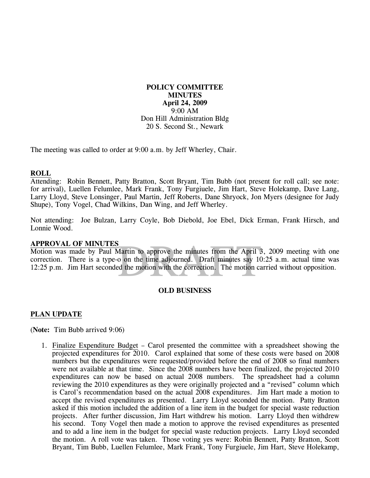## **POLICY COMMITTEE MINUTES April 24, 2009**  9:00 AM Don Hill Administration Bldg 20 S. Second St., Newark

The meeting was called to order at 9:00 a.m. by Jeff Wherley, Chair.

### **ROLL**

Attending: Robin Bennett, Patty Bratton, Scott Bryant, Tim Bubb (not present for roll call; see note: for arrival), Luellen Felumlee, Mark Frank, Tony Furgiuele, Jim Hart, Steve Holekamp, Dave Lang, Larry Lloyd, Steve Lonsinger, Paul Martin, Jeff Roberts, Dane Shryock, Jon Myers (designee for Judy Shupe), Tony Vogel, Chad Wilkins, Dan Wing, and Jeff Wherley.

Not attending: Joe Bulzan, Larry Coyle, Bob Diebold, Joe Ebel, Dick Erman, Frank Hirsch, and Lonnie Wood.

#### **APPROVAL OF MINUTES**

Martin to approve the minutes from the April 3<br>o on the time adjourned. Draft minutes say 10<br>ed the motion with the correction. The motion ca Motion was made by Paul Martin to approve the minutes from the April 3, 2009 meeting with one correction. There is a type-o on the time adjourned. Draft minutes say 10:25 a.m. actual time was 12:25 p.m. Jim Hart seconded the motion with the correction. The motion carried without opposition.

#### **OLD BUSINESS**

#### **PLAN UPDATE**

(**Note:** Tim Bubb arrived 9:06)

1. Finalize Expenditure Budget – Carol presented the committee with a spreadsheet showing the projected expenditures for 2010. Carol explained that some of these costs were based on 2008 numbers but the expenditures were requested/provided before the end of 2008 so final numbers were not available at that time. Since the 2008 numbers have been finalized, the projected 2010 expenditures can now be based on actual 2008 numbers. The spreadsheet had a column reviewing the 2010 expenditures as they were originally projected and a "revised" column which is Carol's recommendation based on the actual 2008 expenditures. Jim Hart made a motion to accept the revised expenditures as presented. Larry Lloyd seconded the motion. Patty Bratton asked if this motion included the addition of a line item in the budget for special waste reduction projects. After further discussion, Jim Hart withdrew his motion. Larry Lloyd then withdrew his second. Tony Vogel then made a motion to approve the revised expenditures as presented and to add a line item in the budget for special waste reduction projects. Larry Lloyd seconded the motion. A roll vote was taken. Those voting yes were: Robin Bennett, Patty Bratton, Scott Bryant, Tim Bubb, Luellen Felumlee, Mark Frank, Tony Furgiuele, Jim Hart, Steve Holekamp,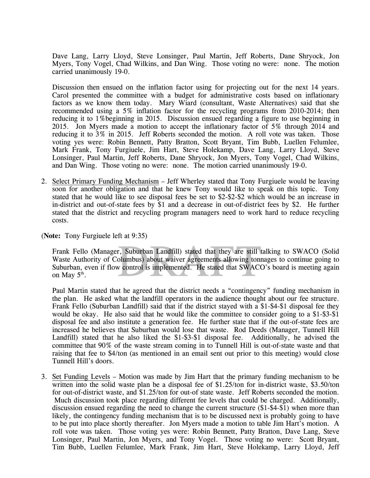Dave Lang, Larry Lloyd, Steve Lonsinger, Paul Martin, Jeff Roberts, Dane Shryock, Jon Myers, Tony Vogel, Chad Wilkins, and Dan Wing. Those voting no were: none. The motion carried unanimously 19-0.

Discussion then ensued on the inflation factor using for projecting out for the next 14 years. Carol presented the committee with a budget for administrative costs based on inflationary factors as we know them today. Mary Wiard (consultant, Waste Alternatives) said that she recommended using a 5% inflation factor for the recycling programs from 2010-2014; then reducing it to 1%beginning in 2015. Discussion ensued regarding a figure to use beginning in 2015. Jon Myers made a motion to accept the inflationary factor of 5% through 2014 and reducing it to 3% in 2015. Jeff Roberts seconded the motion. A roll vote was taken. Those voting yes were: Robin Bennett, Patty Bratton, Scott Bryant, Tim Bubb, Luellen Felumlee, Mark Frank, Tony Furgiuele, Jim Hart, Steve Holekamp, Dave Lang, Larry Lloyd, Steve Lonsinger, Paul Martin, Jeff Roberts, Dane Shryock, Jon Myers, Tony Vogel, Chad Wilkins, and Dan Wing. Those voting no were: none. The motion carried unanimously 19-0.

2. Select Primary Funding Mechanism – Jeff Wherley stated that Tony Furgiuele would be leaving soon for another obligation and that he knew Tony would like to speak on this topic. Tony stated that he would like to see disposal fees be set to \$2-\$2-\$2 which would be an increase in in-district and out-of-state fees by \$1 and a decrease in out-of-district fees by \$2. He further stated that the district and recycling program managers need to work hard to reduce recycling costs.

(**Note:** Tony Furgiuele left at 9:35)

r, Suburban Landfill) stated that they are still to<br>lumbus) about waiver agreements allowing tone<br>w control is implemented. He stated that SWACC Frank Fello (Manager, Suburban Landfill) stated that they are still talking to SWACO (Solid Waste Authority of Columbus) about waiver agreements allowing tonnages to continue going to Suburban, even if flow control is implemented. He stated that SWACO's board is meeting again on May  $5^{\text{th}}$ .

Paul Martin stated that he agreed that the district needs a "contingency" funding mechanism in the plan. He asked what the landfill operators in the audience thought about our fee structure. Frank Fello (Suburban Landfill) said that if the district stayed with a \$1-\$4-\$1 disposal fee they would be okay. He also said that he would like the committee to consider going to a \$1-\$3-\$1 disposal fee and also institute a generation fee. He further state that if the out-of-state fees are increased he believes that Suburban would lose that waste. Rod Deeds (Manager, Tunnell Hill Landfill) stated that he also liked the \$1-\$3-\$1 disposal fee. Additionally, he advised the committee that 90% of the waste stream coming in to Tunnell Hill is out-of-state waste and that raising that fee to \$4/ton (as mentioned in an email sent out prior to this meeting) would close Tunnell Hill's doors.

3. Set Funding Levels – Motion was made by Jim Hart that the primary funding mechanism to be written into the solid waste plan be a disposal fee of \$1.25/ton for in-district waste, \$3.50/ton for out-of-district waste, and \$1.25/ton for out-of state waste. Jeff Roberts seconded the motion. Much discussion took place regarding different fee levels that could be charged. Additionally, discussion ensued regarding the need to change the current structure (\$1-\$4-\$1) when more than likely, the contingency funding mechanism that is to be discussed next is probably going to have to be put into place shortly thereafter. Jon Myers made a motion to table Jim Hart's motion. A roll vote was taken. Those voting yes were: Robin Bennett, Patty Bratton, Dave Lang, Steve Lonsinger, Paul Martin, Jon Myers, and Tony Vogel. Those voting no were: Scott Bryant, Tim Bubb, Luellen Felumlee, Mark Frank, Jim Hart, Steve Holekamp, Larry Lloyd, Jeff